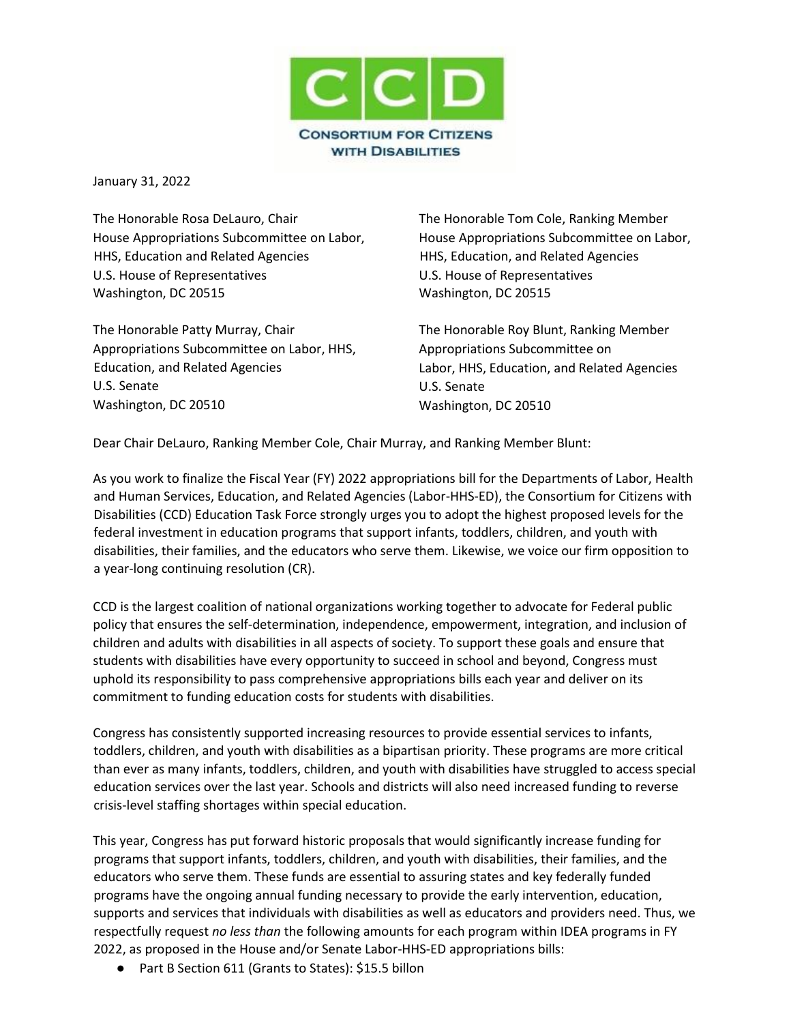

January 31, 2022

The Honorable Rosa DeLauro, Chair House Appropriations Subcommittee on Labor, HHS, Education and Related Agencies U.S. House of Representatives Washington, DC 20515

The Honorable Patty Murray, Chair Appropriations Subcommittee on Labor, HHS, Education, and Related Agencies U.S. Senate Washington, DC 20510

The Honorable Tom Cole, Ranking Member House Appropriations Subcommittee on Labor, HHS, Education, and Related Agencies U.S. House of Representatives Washington, DC 20515

The Honorable Roy Blunt, Ranking Member Appropriations Subcommittee on Labor, HHS, Education, and Related Agencies U.S. Senate Washington, DC 20510

Dear Chair DeLauro, Ranking Member Cole, Chair Murray, and Ranking Member Blunt:

As you work to finalize the Fiscal Year (FY) 2022 appropriations bill for the Departments of Labor, Health and Human Services, Education, and Related Agencies (Labor-HHS-ED), the Consortium for Citizens with Disabilities (CCD) Education Task Force strongly urges you to adopt the highest proposed levels for the federal investment in education programs that support infants, toddlers, children, and youth with disabilities, their families, and the educators who serve them. Likewise, we voice our firm opposition to a year-long continuing resolution (CR).

CCD is the largest coalition of national organizations working together to advocate for Federal public policy that ensures the self-determination, independence, empowerment, integration, and inclusion of children and adults with disabilities in all aspects of society. To support these goals and ensure that students with disabilities have every opportunity to succeed in school and beyond, Congress must uphold its responsibility to pass comprehensive appropriations bills each year and deliver on its commitment to funding education costs for students with disabilities.

Congress has consistently supported increasing resources to provide essential services to infants, toddlers, children, and youth with disabilities as a bipartisan priority. These programs are more critical than ever as many infants, toddlers, children, and youth with disabilities have struggled to access special education services over the last year. Schools and districts will also need increased funding to reverse crisis-level staffing shortages within special education.

This year, Congress has put forward historic proposals that would significantly increase funding for programs that support infants, toddlers, children, and youth with disabilities, their families, and the educators who serve them. These funds are essential to assuring states and key federally funded programs have the ongoing annual funding necessary to provide the early intervention, education, supports and services that individuals with disabilities as well as educators and providers need. Thus, we respectfully request *no less than* the following amounts for each program within IDEA programs in FY 2022, as proposed in the House and/or Senate Labor-HHS-ED appropriations bills:

● Part B Section 611 (Grants to States): \$15.5 billon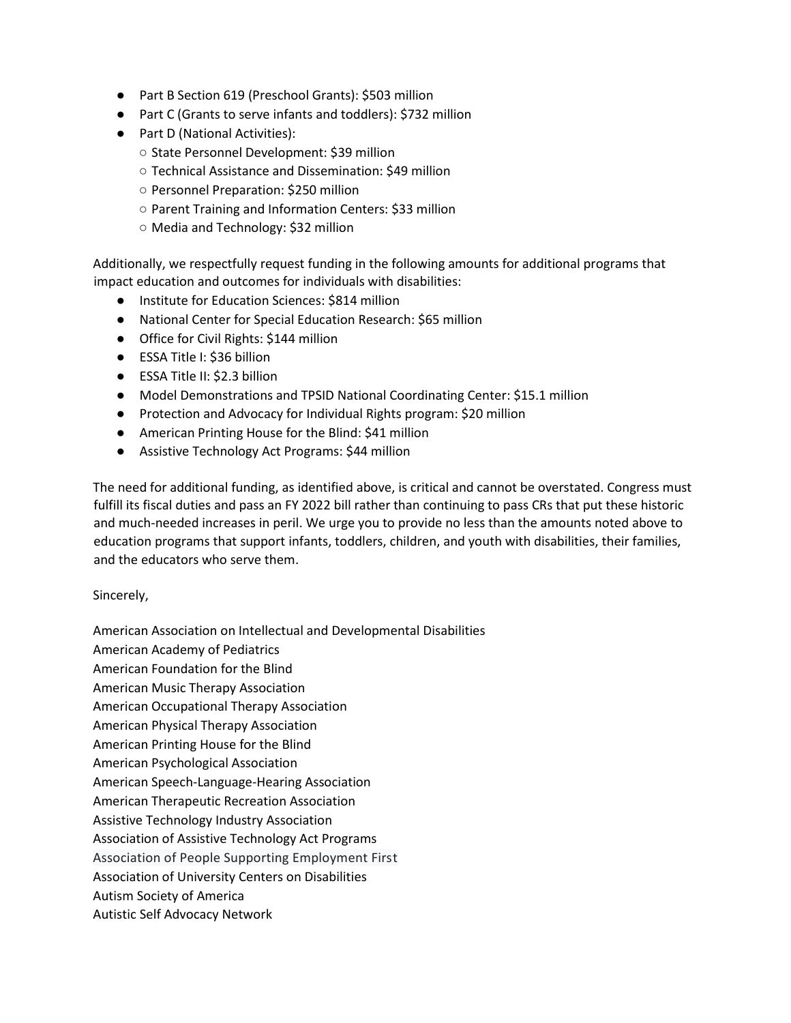- Part B Section 619 (Preschool Grants): \$503 million
- Part C (Grants to serve infants and toddlers): \$732 million
- Part D (National Activities):
	- State Personnel Development: \$39 million
	- Technical Assistance and Dissemination: \$49 million
	- Personnel Preparation: \$250 million
	- Parent Training and Information Centers: \$33 million
	- Media and Technology: \$32 million

Additionally, we respectfully request funding in the following amounts for additional programs that impact education and outcomes for individuals with disabilities:

- Institute for Education Sciences: \$814 million
- National Center for Special Education Research: \$65 million
- Office for Civil Rights: \$144 million
- ESSA Title I: \$36 billion
- ESSA Title II: \$2.3 billion
- Model Demonstrations and TPSID National Coordinating Center: \$15.1 million
- Protection and Advocacy for Individual Rights program: \$20 million
- American Printing House for the Blind: \$41 million
- Assistive Technology Act Programs: \$44 million

The need for additional funding, as identified above, is critical and cannot be overstated. Congress must fulfill its fiscal duties and pass an FY 2022 bill rather than continuing to pass CRs that put these historic and much-needed increases in peril. We urge you to provide no less than the amounts noted above to education programs that support infants, toddlers, children, and youth with disabilities, their families, and the educators who serve them.

## Sincerely,

American Association on Intellectual and Developmental Disabilities American Academy of Pediatrics American Foundation for the Blind American Music Therapy Association American Occupational Therapy Association American Physical Therapy Association American Printing House for the Blind American Psychological Association American Speech-Language-Hearing Association American Therapeutic Recreation Association Assistive Technology Industry Association Association of Assistive Technology Act Programs Association of People Supporting Employment First Association of University Centers on Disabilities Autism Society of America Autistic Self Advocacy Network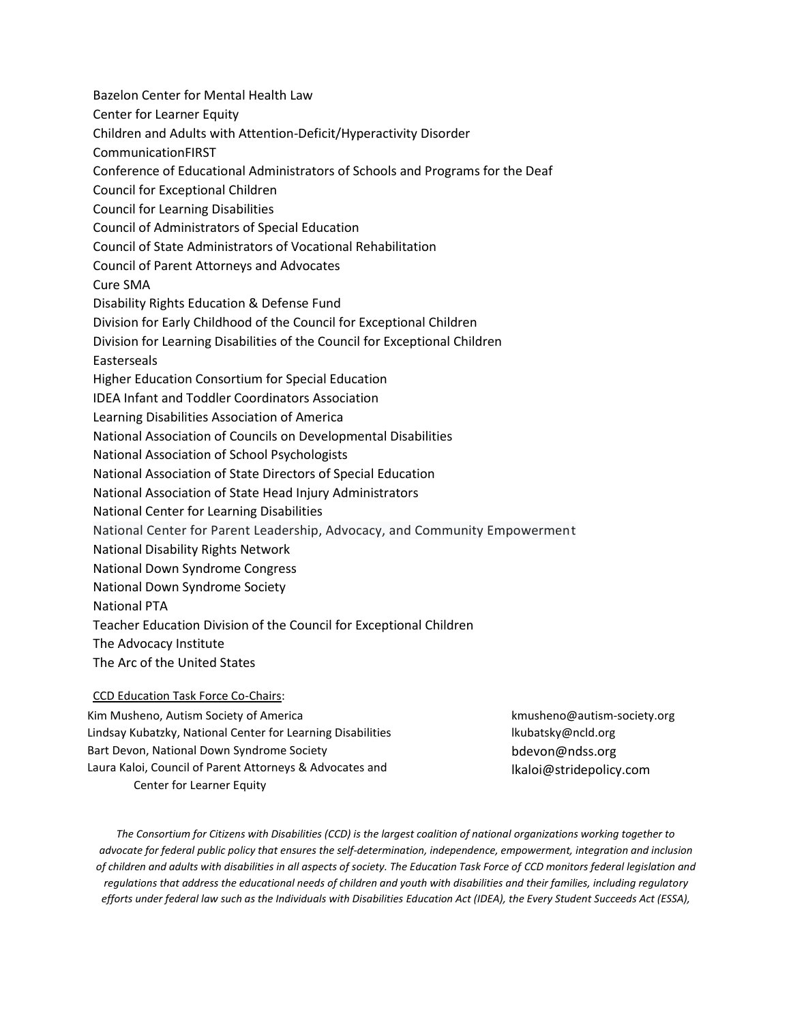Bazelon Center for Mental Health Law Center for Learner Equity Children and Adults with Attention-Deficit/Hyperactivity Disorder CommunicationFIRST Conference of Educational Administrators of Schools and Programs for the Deaf Council for Exceptional Children Council for Learning Disabilities Council of Administrators of Special Education Council of State Administrators of Vocational Rehabilitation Council of Parent Attorneys and Advocates Cure SMA Disability Rights Education & Defense Fund Division for Early Childhood of the Council for Exceptional Children Division for Learning Disabilities of the Council for Exceptional Children Easterseals Higher Education Consortium for Special Education IDEA Infant and Toddler Coordinators Association Learning Disabilities Association of America National Association of Councils on Developmental Disabilities National Association of School Psychologists National Association of State Directors of Special Education National Association of State Head Injury Administrators National Center for Learning Disabilities National Center for Parent Leadership, Advocacy, and Community Empowerment National Disability Rights Network National Down Syndrome Congress National Down Syndrome Society National PTA Teacher Education Division of the Council for Exceptional Children The Advocacy Institute The Arc of the United States

## CCD Education Task Force Co-Chairs:

Kim Musheno, Autism Society of America kmusheno@autism-society.org Lindsay Kubatzky, National Center for Learning Disabilities lateration and lkubatsky@ncld.org Bart Devon, National Down Syndrome Society Laura Kaloi, Council of Parent Attorneys & Advocates and Center for Learner Equity

bdevon@ndss.org lkaloi@stridepolicy.com

*The Consortium for Citizens with Disabilities (CCD) is the largest coalition of national organizations working together to advocate for federal public policy that ensures the self-determination, independence, empowerment, integration and inclusion of children and adults with disabilities in all aspects of society. The Education Task Force of CCD monitors federal legislation and regulations that address the educational needs of children and youth with disabilities and their families, including regulatory efforts under federal law such as the Individuals with Disabilities Education Act (IDEA), the Every Student Succeeds Act (ESSA),*